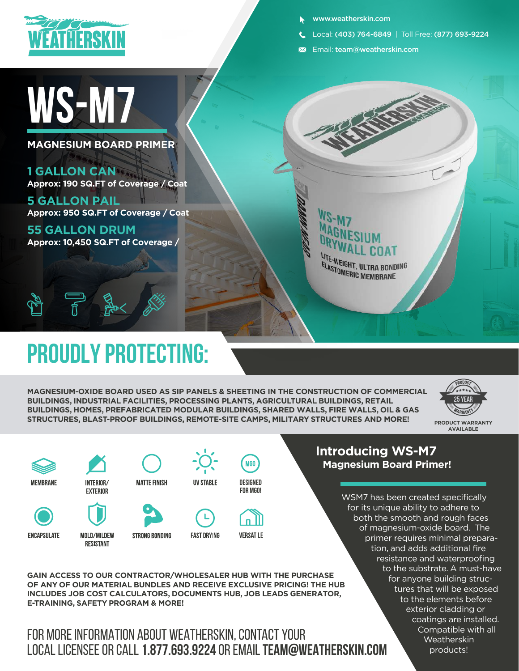

## **WS-M7**

**MAGNESIUM BOARD PRIMER**

**1 GALLON CAN Approx: 190 SQ.FT of Coverage / Coat**

**5 GALLON PAIL Approx: 950 SQ.FT of Coverage / Coat**

**55 GALLON DRUM Approx: 10,450 SQ.FT of Coverage /** 

 $\overline{\overline{\pi}}$ 

## **Proudly protecting:**

**MAGNESIUM-OXIDE BOARD USED AS SIP PANELS & SHEETING IN THE CONSTRUCTION OF COMMERCIAL BUILDINGS, INDUSTRIAL FACILITIES, PROCESSING PLANTS, AGRICULTURAL BUILDINGS, RETAIL BUILDINGS, HOMES, PREFABRICATED MODULAR BUILDINGS, SHARED WALLS, FIRE WALLS, OIL & GAS STRUCTURES, BLAST-PROOF BUILDINGS, REMOTE-SITE CAMPS, MILITARY STRUCTURES AND MORE!** 





MOLD/MILDEW

**RESISTANT** 



**ENCAPSULATE** 



**STRONG BONDING** 

**UV STABLE DESIGNED**



**FOR MGO!**

**MGO** 

**FAST DRYING** 

#### **Introducing WS-M7 Magnesium Board Primer!**

www.weatherskin.com

Email: team@weatherskin.com

UTE-WEIGHT, ULTRA BONDING ELASTOMERIC MEMBRANE

Local: (403) 764-6849 | Toll Free: (877) 693-9224

WSM7 has been created specifically for its unique ability to adhere to both the smooth and rough faces of magnesium-oxide board. The primer requires minimal preparation, and adds additional fire resistance and waterproofing to the substrate. A must-have for anyone building structures that will be exposed to the elements before exterior cladding or coatings are installed. Compatible with all Weatherskin products!

**GAIN ACCESS TO OUR CONTRACTOR/WHOLESALER HUB WITH THE PURCHASE OF ANY OF OUR MATERIAL BUNDLES AND RECEIVE EXCLUSIVE PRICING! THE HUB INCLUDES JOB COST CALCULATORS, DOCUMENTS HUB, JOB LEADS GENERATOR, E-TRAINING, SAFETY PROGRAM & MORE!**

### FOR MORE INFORMATION ABOUT WEATHERSKIN, CONTACT YOUR LOCAL LICENSEE OR CALL **1.877.693.9224** OR EMAIL **TEAM@WEATHERSKIN.COM**